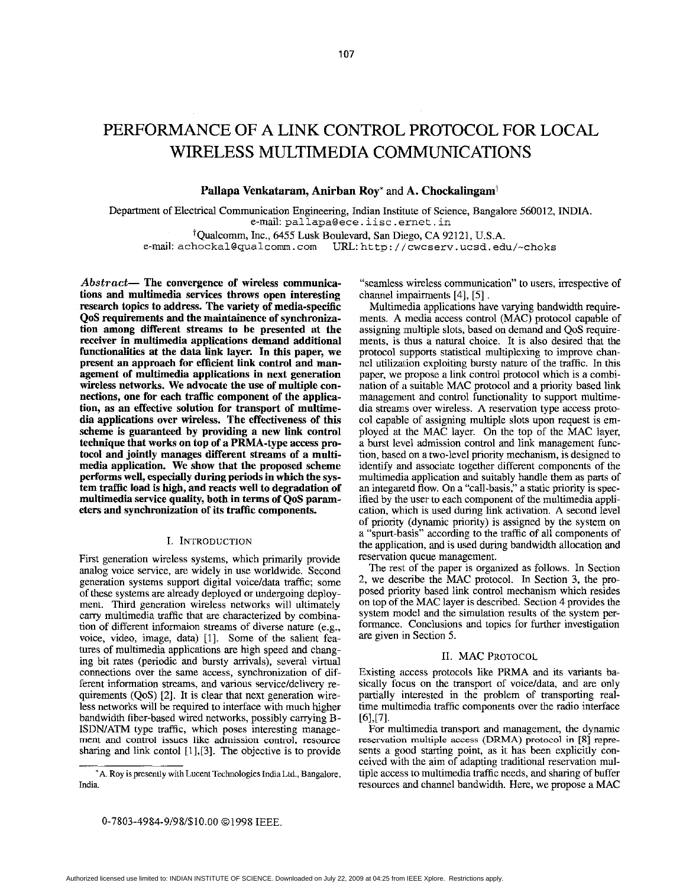# PERFORMANCE OF **A** LINK CONTROL PROTOCOL FOR LOCAL WIRELESS MULTIMEDIA COMMUNICATIONS

**Pallapa Venkataram, Anirban Roy**<sup>\*</sup> and **A. Chockalingam**<sup>†</sup>

Department of Electrical Communication Engineering, Indian Institute of Science, Bangalore 560012, INDIA. e-mail: **pallapaeece. iisc** . **ernet. in** 

+Qualcomm, Inc., **6455** Lusk Boulevard, San Dicgo, CA 92121, U.S.A. URL: http://cwcserv.ucsd.edu/~choks

Abstract— The convergence of wireless communica**tions and multimedia services throws open interesting research topics to address. The variety of media-specific QoS requirements and the maintainence of syuchronization among different streams to he presented at the receiver in multimedia applications demand additional functionalities at the data link layer. In this paper, we present an approach for efficient link control and management of multimedia applications in next generation wireless networks. We advocate the use of multiple connections, one for each traffic component of the application, as an effective solution for transport of multimedia applications over wireless. The effectiveness of this scheme is guaranteed by providing a new link control technique that works on top of a PRMA-type access protocol and jointly manages different streams of a multimedia application. We show that the proposed scheme performs well, especially during periods in which the system traffic load is high, and reacts well to degradation of multimedia service quality, both in terms of QoS param**eters and synchronization of its traffic components.

## I. INTRODUCTION

First generation wireless systems, which primarily provide analog voice service, are widely in use worldwide. Second generation systems support digital voice/data traffic; some of these systems **are** already deployed or undergoing deployment. Third generation wireless networks will ultimately carry multimedia traffic that are characterized by combination of different informaion streams of diverse nature (e.g., voice, video, image, data) [l]. Some of the salient features of multimedia applications are high speed and changing bit rates (periodic and bursty arrivals), several virtual connections over the same access, synchronization of different information streams, and various service/delivery requirements (QoS) [2]. It is clear that next generation wireless networks will be required to interface with much higher bandwidth fiber-based wired networks, possibly carrying B-ISDN/ATM type traffic, which poses interesting management **and** control **issues like admission control, resource**  sharing and link contol [1],[3]. The objective is to provide

"seamless wireless communication" to users, irrespective of channel impairments [4], [5].

Multimedia applications have varying bandwidth requirements. A media access control (MAC) protocol capable of assigning multiple slots, based on demand and QoS requirements, is thus a natural choice. It is also desired that the protocol supports statistical multiplexing to improve channel utilization exploiting bursty nature of the traffic. In this paper, we propose a link control protocol which is a combination of a suitable MAC protocol and a priority based link management and control functionality to support multimedia streams over wireless. **A** reservation type access protocol capable of assigning multiple slots upon request is employed at the MAC layer. On the top of the MAC layer, a burst level admission control and link management function, based on a two-level priority mechanism, is designed to identify and associate together different components of the multimedia application and suitably handle them as parts of an integaretd flow. On a "call-basis," a static priority is specified by the user to each component of the multimedia application, which is used during link activation. A second level of priority (dynamic priority) is assigned by the system on a "spurt-basis" according to the traffic of all components of the application, and is used during bandwidth allocation and reservation queue management.

The rest of the paper is organized as follows. In Section 2, we describe the MAC protocol. In Section **3,** the proposed priority based link control mechanism which resides on top of the MAC layer is described. Section 4 provides the system model and the simulation results of the system performance. Conclusions and topics for further investigation **are** given in Section *5.* 

## **11.** MAC PROTOCOL

Existing access protocols like PRMA and its variants basically focus on the transport of voice/data, and are only partially interested in the problem of transporting realtime multimedia traffic components over the radio interface  $[6]$ ,  $[7]$ .

For multimedia transport and management, the dynamic **reservation** multiple **access (DRMA) protocol** in *[8]* **repre**sents a good starting point, as it has been explicitly conceived with the aim of adapting traditional reservation multiple access to multimedia traffic needs, and sharing of buffer resources and channel bandwidth. Here, we propose a MAC

**<sup>\*</sup>A.** Roy **is** presently with Lucent Technologies **India** Ltd., Bangalore, India.

<sup>0-7803-4984-9/98/\$10.00</sup> *0* 1998 IEEE.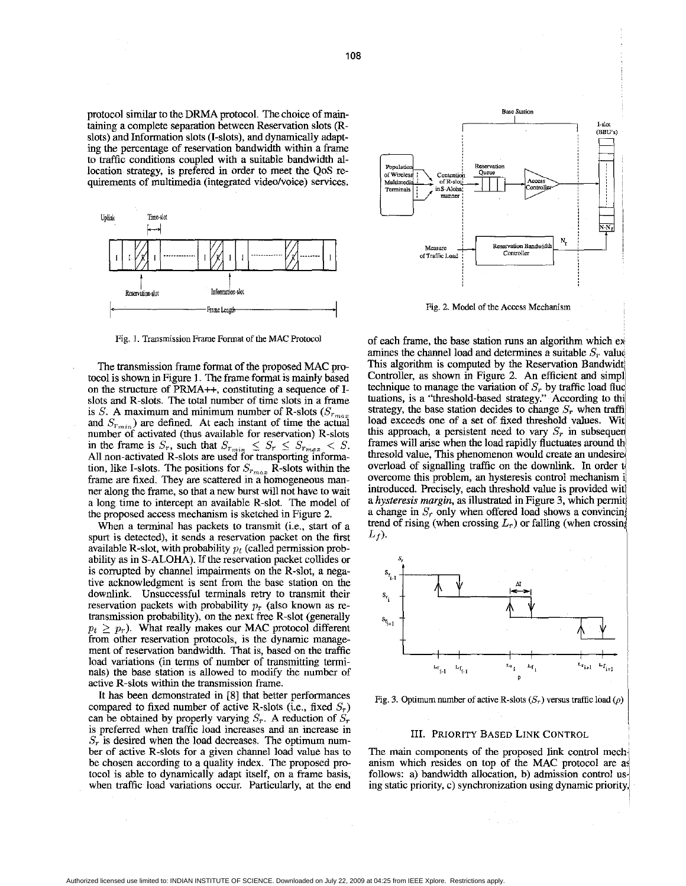protocol similar to the DRMA protocol. The choice of maintaining a complete separation between Reservation slots (Rslots) and Information slots (I-slots), and dynamically adapting the percentage of reservation bandwidth within a frame to traffic conditions coupled with a suitable bandwidth allocation strategy, is prefered in order to meet the QoS requirements of multimedia (integrated video/voice) services.



Fig. 1. Transmission Frame Format of the MAC Protocol

The transmission frame format of the proposed MAC protocol is shown in Figure 1. The frame format is mainly based on the structure of PRMA++, constituting a sequence of Islots and R-slots. The total number of time slots in a frame is S. A maximum and minimum number of R-slots  $(S_{r_{max}})$ and  $S_{r_{min}}$ ) are defined. At each instant of time the actual number of activated (thus available for reservation) R-slots in the frame is  $S_r$ , such that  $S_{r_{min}} \leq S_r \leq S_{r_{max}} < S$ .<br>All non-activated R-slots are used for transporting information, like I-slots. The positions for  $S_{r_{max}}$  R-slots within the frame are fixed. They are scattered in a homogeneous manner along the frame, so that a new burst will not have to wait a long time to intercept an available R-slot. The model of the proposed access mechanism is sketched in Figure 2.

When a terminal has packets to transmit (i.e., start of a spurt is detected), it sends a reservation packet on the first available R-slot, with probability  $p_t$  (called permission probability as in S-ALOHA). If the reservation packet collides or is corrupted by channel impairments on the R-slot, a negative acknowledgment is sent from the base station on the downlink. Unsuccessful terminals retry to transmit their reservation packets with probability  $p_r$  (also known as retransmission probability), on the next free R-slot (generally  $p_t \geq p_r$ ). What really makes our MAC protocol different from other reservation protocols, is the dynamic management of reservation bandwidth. That is, based on the traffic load variations (in terms of number of transmitting terminals) the base station is allowed to modify the number of active R-slots within the transmission frame.

It has been demonstrated in [8] that better performances compared to fixed number of active R-slots (i.e., fixed  $S_r$ ) can be obtained by properly varying  $S_r$ . A reduction of  $S_r$ is preferred when traffic load increases and an increase in  $S_r$  is desired when the load decreases. The optimum number of active R-slots for a given channel load value has to be chosen according to a quality index. The proposed protocol is able to dynamically adapt itself, on a frame basis, when traffic load variations occur. Particularly, at the end



Fig. 2. Model of the Access Mechanism

of each frame, the base station runs an algorithm which examines the channel load and determines a suitable  $S_r$  value This algorithm is computed by the Reservation Bandwidt Controller, as shown in Figure 2. An efficient and simpl technique to manage the variation of  $S_r$  by traffic load fluc tuations, is a "threshold-based strategy." According to thi strategy, the base station decides to change  $S_r$  when traffi load exceeds one of a set of fixed threshold values. Wit this approach, a persistent need to vary  $S_r$  in subsequent frames will arise when the load rapidly fluctuates around the thresold value. This phenomenon would create an undesire overload of signalling traffic on the downlink. In order to overcome this problem, an hysteresis control mechanism i introduced. Precisely, each threshold value is provided with a hysteresis margin, as illustrated in Figure 3, which permit a change in  $S_r$  only when offered load shows a convincing trend of rising (when crossing  $L<sub>r</sub>$ ) or falling (when crossing  $L_f$ ).



Fig. 3. Optimum number of active R-slots  $(S_r)$  versus traffic load  $(\rho)$ 

#### III. PRIORITY BASED LINK CONTROL

The main components of the proposed link control mechanism which resides on top of the MAC protocol are as follows: a) bandwidth allocation, b) admission control using static priority, c) synchronization using dynamic priority,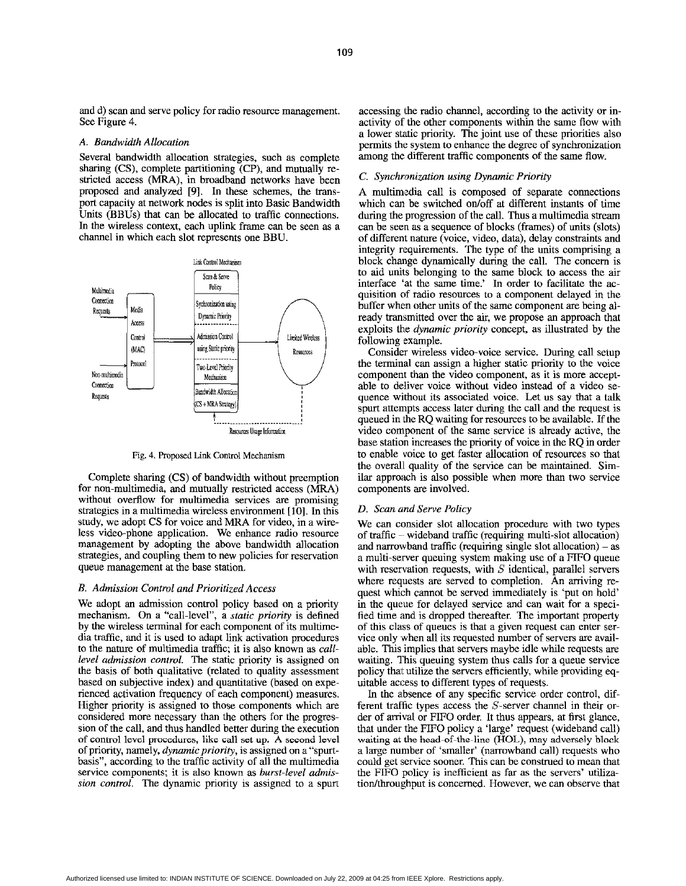and d) scan and serve policy for radio resource management See Figure 4.

### *A. Bandwidth Allocation*

Several bandwidth allocation strategies, such as complete sharing **(CS),** complete partitioning (CP), and mutually restricted access (MRA), in broadband networks have been proposed and analyzed **[9].** In these schemes, the transport capacity at network nodes is split into Basic Bandwidth Units (BBUs) that can be allocated to traffic connections. In the wireless context, each uplink frame can be seen as a channel in which each slot represents one BBU.



Fig. 4. Proposed Link Control Mechanism

Complete sharing *(CS)* of bandwidth without preemption for non-multimedia, and mutually restricted access (MRA) without overflow for multimedia services are promising strategies in a multimedia wireless environment [10]. In this study, we adopt *CS* for voice and MRA for video, in a wireless video-phone application. We enhance radio resource management by adopting the above bandwidth allocation strategies, and coupling them to new policies for reservation queue management at the base station.

## *B. Admission Control and Prioritized Access*

We adopt an admission control policy based on a priority mechanism. On a "call-level", a *static priority* is defined by the wireless terminal for each component of its multimedia traffic, and it is used to adapt link activation procedures to the nature of multimedia traffic; it is also known as *calllevel admission control.* The static priority is assigned on the basis of both qualitative (related to quality assessment based on subjective index) and quantitative (based on experienced activation frequency of each component) measures. Higher priority is assigned to those components which are considered more necessary than the others for the progression of the call, and thus handled better during the execution of **control** level **proocdures,** like **call set up.** A **sccond** level of priority, namely, *dynamic priority*, is assigned on a "spurtbasis", according to the traffic activity of all the multimedia service components; it is also known as *burst-level admission control.* The dynamic priority is assigned to a spurt accessing the radio channel, according to the activity or inactivity of the other components within the same flow with a lower static priority. The joint use of these priorities also permits the system to enhance the degee of synchronization among the different traffic components of the same flow.

### *C. Synchronization using Dynamic Priority*

A multimedia call is composed of separate connections which can be switched on/off at different instants of time during the progression of the call. Thus a multimedia stream can be seen as a sequence of blocks (frames) of units (slots) of different nature (voice, video, data), delay constraints and integrity requirements. The type of the units comprising a block change dynamically during the call. The concern is to aid units belonging to the same block to access the air interface 'at the same time.' In order to facilitate the acquisition of radio resources to a component delayed in the buffer when other units of the same component are being already transmitted over the air, we propose an approach that exploits the *dynamic priority* concept, as illustrated by the following example.

Consider wireless video-voice service. During call setup the terminal can assign a higher static priority to the voice component than the video component, as it is more acceptable to deliver voice without video instead of a video sequence without its associated voice. Let **us** say that a talk spurt attempts access later during the call and the request is queued in the RQ waiting for resources to be available. If the video component of the same service is already active, the base station increases the priority of voice in the RQ **in** order to enable voice to get faster allocation of resources so that the overall quality of the service can be maintained. Similar approach is also possible when more than two service components are involved.

#### *D. Scan and Serve Policy*

We can consider slot allocation procedure with two types of traffic – wideband traffic (requiring multi-slot allocation) and narrowband traffic (requiring single slot allocation)  $-$  as a multi-server queuing system making use of a FIFO queue with reservation requests, with *S* identical, parallel servers where requests are served to completion. An arriving request which cannot be served immediately is 'put on hold' in the queue for delayed service and can wait for a specified time and is dropped thereafter. The important property of **this** class of queues is that a given request can enter service only when all its requested number of servers are available. This implies that servers maybe idle while requests are waiting. This queuing system thus calls **for** a queue service policy that utilize the servers efficiently, while providing equitable access to different types of requests.

In the absence of any specific service order control, different traffic types access the S-server channel in their order of arrival or FIFO order. It thus appears, at first glance, that under the FIFO policy a 'large' request (wideband call) **waiting at the head-of-the-line (HOL),** may adversely **block**  a large number of 'smaller' (narrowband call) requests who could get service sooner. This can be construed to mean that the FIFO policy is inefficient as far as the servers' utilization/throughput is concerned. However, we can observe that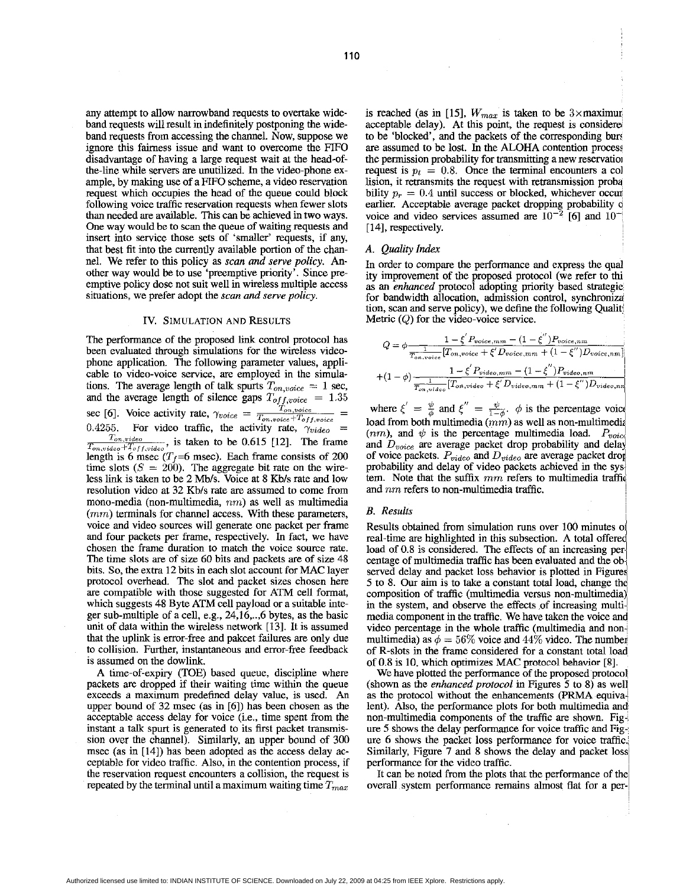any attempt to allow narrowband requests to overtake wideband requests will result in indefinitely postponing the widehand requests from accessing the channel. Now, suppose we ignore this fairness issue and want to overcome the FIFO disadvantage of having a large request wait at the head-ofthe-line while servers are unutilized. In the video-phone example, by making use of a FIFO scheme, a video reservation request which occupies the head of the queue could block following voice traffic reservation requests when fewer slots than needed are available. This can be achieved in two ways. One way would be to scan the queue of waiting requests and insert into service those sets of 'smaller' requests, if any, that best fit into the currently available portion of the channel. We refer to this policy as *scan and serve policy.* **An**other way would be to use 'preemptive priority'. Since preemptive policy dose not suit well in wireless multiple access situations, we prefer adopt the *scan and serve policy.* 

## Iv. **SIMULATION AND RESULTS**

The performance of the proposed link control protocol has been evaluated through simulations for the wireless videophone application. The following parameter values, applicable to video-voice service, are employed in the simulations. The average length of talk spurts  $T_{on, voice} = 1$  sec, and the average length of silence gaps  $T_{off,voice} = 1.35$  $0.4255$ . For video traffic, the activity rate,  $\gamma_{video}$  =  $rac{I_{on,video} + I_{off,video}}{T_{on,video} + T_{off,video}}$ , is taken to be 0.615 [12]. The frame length is 6 msec ( $T_f$ =6 msec). Each frame consists of 200 time slots  $(S = 200)$ . The aggregate bit rate on the wireless link is taken to be **2** Mb/s. Voice at 8 Kb/s rate and low resolution video at **32** Kb/s rate are assumed to come from mono-media (non-multimedia, *nm)* as well as multimedia *(mm)* terminals for channel access. With these parameters, voice and video sources will generate one packet per frame and four packets per frame, respectively. In fact, we have chosen the frame duration to match the voice source rate. The time slots are of size 60 hits and packets are of size 48 bits. **So,** the extra **12** bits in each slot account for MAC layer protocol overhead. The slot and packet sizes chosen here are compatible with those suggested for **ATM** cell format, which suggests 48 Byte **ATM** cell payload or a suitable integer sub-multiple of a cell, e.g., 24,16,..,6 bytes, as the basic unit of data within the wireless network **[13].** It is assumed that the uplink is error-free and pakcet failures are only due to collision. Further, instantaneous and error-free feedback is assumed on the dowlink. and the average length of silence gaps  $T_{off, voice} = 1.35$ <br>sec [6]. Voice activity rate,  $\gamma_{voice} = \frac{T_{on,voice}}{T_{on,voice} + T_{off,voice}} =$ 

A time-of-expiry (TOE) based queue, discipline where packets are dropped if their waiting time within the queue exceeds a maximum predefined delay value, is used. **An**  upper bound of 32 msec (as in [6]) has been chosen as the acceptable access delay for voice (i.e., time spent from the instant a talk spurt is generated to its first packet transmission over the channel). Similarly, an upper hound of 300 msec (as in [14]) bas been adopted as the access delay acceptable for video traffic. Also, in the contention process, if the reservation request encounters a collision, the request is repeated by the terminal until a maximum waiting time  $T_{max}$ 

is reached (as in [15],  $W_{max}$  is taken to be  $3 \times$ maximur acceptable delay). At this point, the request is considere to be 'blocked', and the packets of the correspondmg burs **are** assumed to he lost. In the ALOHA contention procese the permission probability for transmitting a new reservation request is  $p_t = 0.8$ . Once the terminal encounters a col lision, it retransmits the request with retransmission proba bility  $p_r = 0.4$  until success or blocked, whichever occur earlier. Acceptable average packet dropping probability o voice and video services assumed are  $10^{-2}$  [6] and  $10^{-7}$ [14], respectively.

## A. Quality Index

In order to compare the performance and express the qual ity improvement of the proposed protocol (we refer to thi as an *enhanced* protocol adopting priority based strategie for bandwidth allocation, admission control, synchroniza tion, scan and serve policy), we define the following Qualit: Metric  $(Q)$  for the video-voice service.

$$
Q = \phi \frac{1 - \xi' P_{voice, mm} - (1 - \xi'') P_{voice, nm}}{\overline{T_{on, voice}} \left[T_{on, voice} + \xi' D_{voice, mm} + (1 - \xi'') D_{voice, nm}\right]}
$$

$$
+ (1 - \phi) \frac{1 - \xi' P_{video, mm} - (1 - \xi'') P_{video, nm}}{\overline{T_{on, video}} \left[T_{on, video} + \xi' D_{video, mm} + (1 - \xi'') D_{video, nm}\right]}
$$

where  $\xi' = \frac{\psi}{\phi}$  and  $\xi'' = \frac{\psi}{1-\phi}$ .  $\phi$  is the percentage voice<br>load from both multimedia *(mm)* as well as non-multimedia (nm), and  $\psi$  is the percentage multimedia load.  $P_{void}$ and  $D_{voice}$  are average packet drop probability and delay probability and delay of video packets achieved in of voice packets. *Pvideo* and *Dvideo* are average packet dro tem. Note that the suffix *mm* refers to multimedia traffio and *nm* refers to non-multimedia traffic.

#### *B. Results*

Results obtained from simulation runs over 100 minutes of real-time are highlighted in this subsection. **A** total offer load of 0.8 is considered. The effects of an increasing percentage of multimedia traffic has been evaluated and the observed delay and packet loss behavior is plotted in Figures 5 to 8. Our aim is to take a constant total load, change thd composition of traffic (multimedia versus non-multimedia) in the system, and observe the effects of increasing multimedia component in the traffic. We have taken the voice and video percentage in the whole traffic (multimedia and nonmultimedia) as  $\phi = 56\%$  voice and 44% video. The number of R-slots in the frame considered for a constant total load of 0.8 **is** 10, which optimizes **MAC** protocol behavior **[XI.** 

We have plotted the performance of the proposed protocol (shown as the *enhanced protocol* in [Figures 5](#page-4-0) to 8) as well, as the protocol without the enhancements (PRMA equivalent). Also, the performance plots for both multimedia and non-multimedia components of the traffic are shown. Fig-' [ure 5](#page-4-0) shows the delay performance for voice traffic and Fig[ure 6](#page-4-0) shows the packet loss performance for voice traffic.; Similarly, Figure 7 and 8 shows the delay and packet loss1 performance for the video *traffic.* 

It can be noted from the plots that the performance of the overall system performance remains almost flat for a per-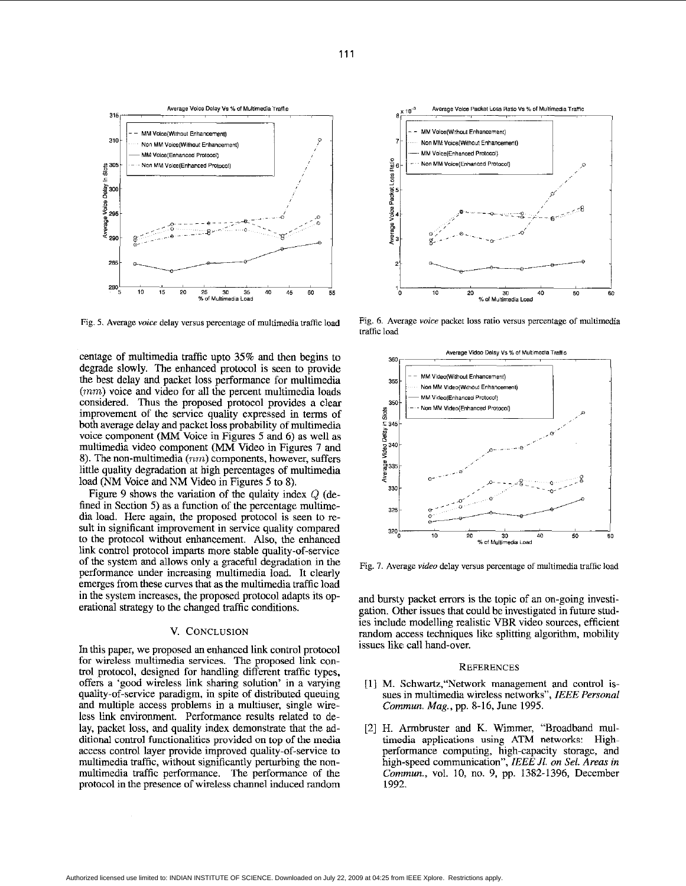<span id="page-4-0"></span>

Fig. *5.* Average *voice* delay versus percentage of multimedia traffic load

centage of multimedia traffic upto 35% and then begins to degrade slowly. The enhanced protocol is seen to provide the best delay and packet loss performance for multimedia *(mm)* voice and video for all the percent multimedia loads considered. Thus the proposed protocol provides a clear improvement of the service quality expressed in terms of both average delay and packet **loss** probability of multimedia voice component (MM Voice in Figures 5 and 6) as well as multimedia video component (MM Video in Figures 7 and **8).** The non-multimedia *(nm)* components, however, suffers little quality degradation at high percentages of multimedia load (NM Voice and NM Video in figures 5 to **8).** 

Figure 9 shows the variation of the qulaity index  $Q$  (defined in Section 5) as a function of the percentage multimedia load. Here again, the proposed protocol is seen to result in significant improvement in service quality compared to the protocol without enhancement. Also, the enhanced link control protocol imparts more stable quality-of-service of **the** system and allows only a graceful degradation in the performance under increasing multimedia load. It clearly emerges from these curves that as the multimedia traffic load in the system increases, the proposed protocol adapts its operational strategy to the changed traffic conditions.

## V. CONCLUSION

In this paper, we proposed an enhanced link control protocol for wireless multimedia services. The proposed link control protocol, designed for handling different traffic types, offers a 'good wireless link sharing solution' in a varying quality-of-service paradigm, in spite **of** distributed queuing and multiple access problems in a multiuser, single wireless link environment. Performance results related to delay, packet loss, and quality index demonstrate that the additional control functionalities provided on top of the media access control layer provide improved quality-of-service to multimedia traffic, without significantly perturbing the nonmultimedia traffic performance. The perfomance of the protocol in the presence of wireless channel induced random



Fig. 6. Average *voice* packet loss ratio versus percentage of multimedia traffic load



Fig. 7. Average video delay versus percentage of mullimedia traffic load

and bursty packet errors is the topic of an on-going investigation. Other issues that could be investigated in future studies include modelling realistic VBR video sources, efficient random access techniques like splitting algorithm, mobility issues like call hand-over.

#### **REFERENCES**

- [l] M. Schwartz,"Network management and control issues in multimedia wireless networks", *IEEE Personal Commun. Mag.,* pp. 8-16, **June** 1995.
- [2] H. Armbruster and K. Wimmer, "Broadband multimedia applications using ATM networks: Highperformance computing, high-capacity storage, and high-speed communication", *IEEE Jl. on Sel. Areas in Commun.,* vol. 10, no. 9, pp. 1382-1396, December 199%.